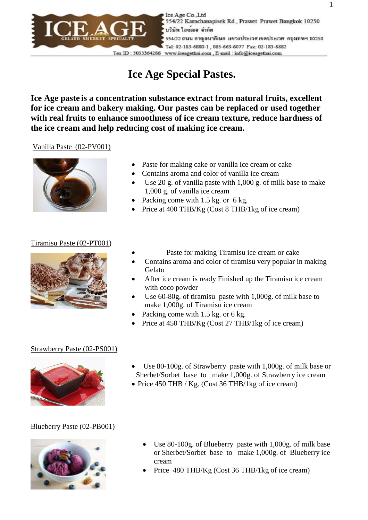

Ice Age Co. Ltd 554/22 Karnchanapisek Rd., Prawet Prawet Bangkok 10250 บริษัท ไอซเอจ จำกัด 554/22 ถนน กาญจนาภิเษก แขวงประเวศเขตประเวศ กรุงเทพฯ 10250 Tel: 02-183-6880-1, 085-663-6077 Fax: 02-183-6882 Tex ID: 3033364286 www.iceagethai.com, E-mail: info@iceagethai.com

# **Ice Age Special Pastes.**

**Ice Age paste is a concentration substance extract from natural fruits, excellent for ice cream and bakery making. Our pastes can be replaced or used together with real fruits to enhance smoothness of ice cream texture, reduce hardness of the ice cream and help reducing cost of making ice cream.** 

#### Vanilla Paste (02-PV001)



- Paste for making cake or vanilla ice cream or cake
- Contains aroma and color of vanilla ice cream
- Use 20 g. of vanilla paste with 1,000 g. of milk base to make 1,000 g. of vanilla ice cream
- Packing come with  $1.5$  kg. or 6 kg.
- Price at 400 THB/Kg (Cost 8 THB/1kg of ice cream)

#### Tiramisu Paste (02-PT001)



- Paste for making Tiramisu ice cream or cake
- Contains aroma and color of tiramisu very popular in making Gelato
- After ice cream is ready Finished up the Tiramisu ice cream with coco powder
- Use 60-80g. of tiramisu paste with 1,000g. of milk base to make 1,000g. of Tiramisu ice cream
- Packing come with 1.5 kg. or 6 kg.
- Price at 450 THB/Kg (Cost 27 THB/1kg of ice cream)

#### Strawberry Paste (02-PS001)



- Use 80-100g. of Strawberry paste with 1,000g. of milk base or Sherbet/Sorbet base to make 1,000g. of Strawberry ice cream
- Price 450 THB / Kg. (Cost 36 THB/1kg of ice cream)

#### Blueberry Paste (02-PB001)



- Use 80-100g. of Blueberry paste with 1,000g. of milk base or Sherbet/Sorbet base to make 1,000g. of Blueberry ice cream
- Price 480 THB/Kg (Cost 36 THB/1kg of ice cream)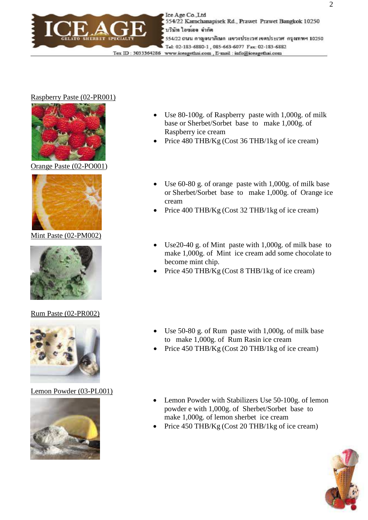

#### Raspberry Paste (02-PR001)



Orange Paste (02-PO001)



Mint Paste (02-PM002)



#### Rum Paste (02-PR002)



Lemon Powder (03-PL001)



- Use 80-100g. of Raspberry paste with 1,000g. of milk base or Sherbet/Sorbet base to make 1,000g. of Raspberry ice cream
- Price 480 THB/Kg (Cost 36 THB/1kg of ice cream)
- Use 60-80 g. of orange paste with 1,000g. of milk base or Sherbet/Sorbet base to make 1,000g. of Orange ice cream
- Price 400 THB/Kg (Cost 32 THB/1kg of ice cream)
- Use20-40 g. of Mint paste with 1,000g. of milk base to make 1,000g. of Mint ice cream add some chocolate to become mint chip.
- Price 450 THB/Kg (Cost 8 THB/1kg of ice cream)
- Use 50-80 g. of Rum paste with 1,000g. of milk base to make 1,000g. of Rum Rasin ice cream
- Price 450 THB/Kg (Cost 20 THB/1kg of ice cream)
- Lemon Powder with Stabilizers Use 50-100g. of lemon powder e with 1,000g. of Sherbet/Sorbet base to make 1,000g. of lemon sherbet ice cream
- Price 450 THB/Kg (Cost 20 THB/1kg of ice cream)

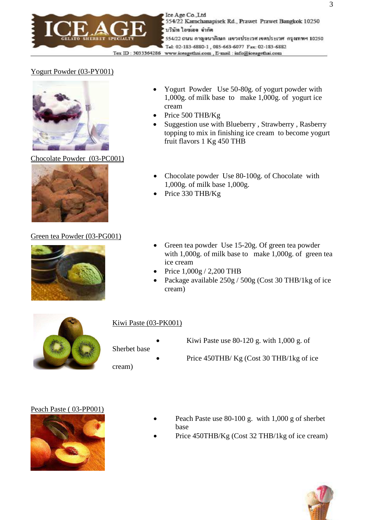

## Yogurt Powder (03-PY001)



Chocolate Powder (03-PC001)



#### Green tea Powder (03-PG001)



- Yogurt Powder Use 50-80g. of yogurt powder with 1,000g. of milk base to make 1,000g. of yogurt ice cream
- Price 500 THB/Kg
- Suggestion use with Blueberry, Strawberry, Rasberry topping to mix in finishing ice cream to become yogurt fruit flavors 1 Kg 450 THB
- Chocolate powder Use 80-100g. of Chocolate with 1,000g. of milk base 1,000g.
- Price 330 THB/Kg
- Green tea powder Use 15-20g. Of green tea powder with 1,000g. of milk base to make 1,000g. of green tea ice cream
- Price  $1,000g / 2,200$  THB
- Package available 250g / 500g (Cost 30 THB/1kg of ice cream)



## Kiwi Paste (03-PK001)

Sherbet base

cream)

- Kiwi Paste use  $80-120$  g. with  $1,000$  g. of
- Price 450THB/ Kg (Cost 30 THB/1kg of ice

#### Peach Paste ( 03-PP001)



- Peach Paste use 80-100 g. with 1,000 g of sherbet base
- Price 450THB/Kg (Cost 32 THB/1kg of ice cream)

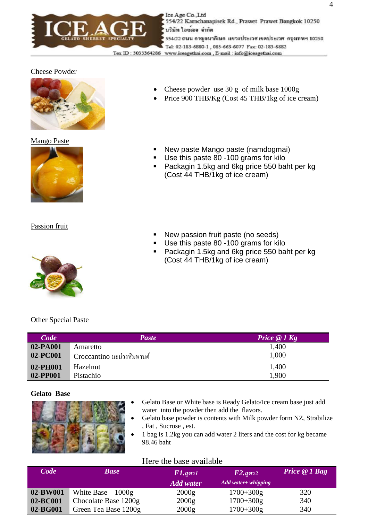

Ice Age Co. Ltd 554/22 Karnchanapisek Rd., Prawet Prawet Bangkok 10250 บริษัท ไอซเอจ จำกัด 554/22 ถนน กาญจนาภิเษก แขวงประเวศเขตประเวศ กรุงเทพฯ 10250 Tel: 02-183-6880-1, 085-663-6077 Fax: 02-183-6882 Tex ID: 3033364286 www.iceagethai.com, E-mail: info@iceagethai.com

## Cheese Powder



Mango Paste



Passion fruit



Other Special Paste

| <b>Code</b> | <b>Paste</b>               | Price $@$ 1 Kg |
|-------------|----------------------------|----------------|
| 02-PA001    | Amaretto                   | 1,400          |
| 02-PC001    | Croccantino มะม่วงหิมพานต์ | 1,000          |
| 02-PH001    | Hazelnut                   | 1,400          |
| 02-PP001    | Pistachio                  | 1,900          |

## **Gelato Base**

- Gelato Base or White base is Ready Gelato/Ice cream base just add water into the powder then add the flavors.
- Gelato base powder is contents with Milk powder form NZ, Strabilize , Fat , Sucrose , est.
- 1 bag is 1.2kg you can add water 2 liters and the cost for kg became 98.46 baht

## Here the base available

| <b>Code</b> | <b>Base</b>          | $F1$ .สูตร $1$<br><b>Add water</b> | $F2$ . gตร $2$<br>Add water + whipping | Price $@I$ Bag |
|-------------|----------------------|------------------------------------|----------------------------------------|----------------|
| 02-BW001    | White Base 1000g     | 2000g                              | $1700 + 300g$                          | 320            |
| 02-BC001    | Chocolate Base 1200g | 2000g                              | $1700 + 300g$                          | 340            |
| 02-BG001    | Green Tea Base 1200g | 2000g                              | $1700+300g$                            | 340            |

- Cheese powder use 30 g of milk base 1000g
- Price 900 THB/Kg (Cost 45 THB/1kg of ice cream)
- New paste Mango paste (namdogmai)
- Use this paste 80 -100 grams for kilo
- Packagin 1.5kg and 6kg price 550 baht per kg (Cost 44 THB/1kg of ice cream)
- New passion fruit paste (no seeds)
- Use this paste 80 -100 grams for kilo
- Packagin 1.5kg and 6kg price 550 baht per kg (Cost 44 THB/1kg of ice cream)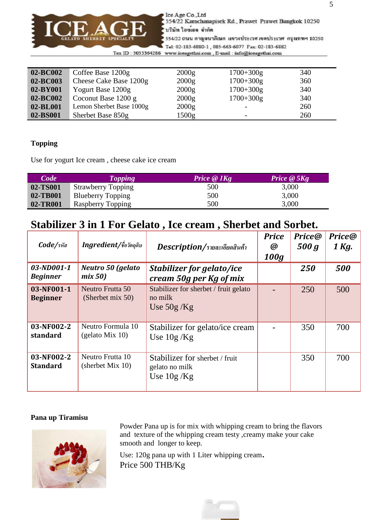

Ice Age Co., Ltd 554/22 Karnchanapisek Rd., Prawet Prawet Bangkok 10250 บริษัท ไอซเอจ จำกัด

554/22 ถนน กาญจนาภิเษก แขวงประเวศเขตประเวศ กรุงเทพฯ 10250 Tel: 02-183-6880-1, 085-663-6077 Fax: 02-183-6882

Tex ID: 3033364286 www.iceagethai.com, E-mail: info@iceagethai.com

| 02-BC002 | Coffee Base 1200g        | 2000g | $1700 + 300g$            | 340 |
|----------|--------------------------|-------|--------------------------|-----|
| 02-BC003 | Cheese Cake Base 1200g   | 2000g | $1700 + 300g$            | 360 |
| 02-BY001 | Yogurt Base 1200g        | 2000g | $1700 + 300g$            | 340 |
| 02-BC002 | Coconut Base $1200 g$    | 2000g | $1700 + 300g$            | 340 |
| 02-BL001 | Lemon Sherbet Base 1000g | 2000g | $\overline{\phantom{a}}$ | 260 |
| 02-BS001 | Sherbet Base 850g        | 1500g | $\overline{\phantom{0}}$ | 260 |

### **Topping**

Use for yogurt Ice cream , cheese cake ice cream

| <b>Code</b> | <b>Topping</b>            | Price $\omega$ 1Kg | Price $\omega$ 5Kg |
|-------------|---------------------------|--------------------|--------------------|
| 02-TS001    | <b>Strawberry Topping</b> | 500                | 3,000              |
| 02-TB001    | <b>Blueberry Topping</b>  | 500                | 3,000              |
| 02-TR001    | Raspberry Topping         | 500                | 3,000              |

# **Stabilizer 3 in 1 For Gelato , Ice cream , Sherbet and Sorbet.**

| Code/sna                      | Ingredient/ชื่อวัตถุดิบ                 | Description/รายละเอียดสินค้า                                     | <b>Price</b><br>$\boldsymbol{\omega}$<br>100q | <b>Price</b> @<br>500 g | <b>Price@</b><br>1 Kg. |
|-------------------------------|-----------------------------------------|------------------------------------------------------------------|-----------------------------------------------|-------------------------|------------------------|
| 03-ND001-1<br><b>Beginner</b> | Neutro 50 (gelato<br>mix 50)            | <b>Stabilizer for gelato/ice</b><br>cream 50g per Kg of mix      |                                               | 250                     | 500                    |
| 03-NF001-1<br><b>Beginner</b> | Neutro Frutta 50<br>(Sherbet mix 50)    | Stabilizer for sherbet / fruit gelato<br>no milk<br>Use $50g/Kg$ |                                               | 250                     | 500                    |
| 03-NF002-2<br>standard        | Neutro Formula 10<br>(gelato Mix 10)    | Stabilizer for gelato/ice cream<br>Use $10g/Kg$                  |                                               | 350                     | 700                    |
| 03-NF002-2<br><b>Standard</b> | Neutro Frutta 10<br>(sherbet Mix $10$ ) | Stabilizer for sherbet / fruit<br>gelato no milk<br>Use $10g/Kg$ |                                               | 350                     | 700                    |

#### **Pana up Tiramisu**



Powder Pana up is for mix with whipping cream to bring the flavors and texture of the whipping cream testy , creamy make your cake smooth and longer to keep.

Use: 120g pana up with 1 Liter whipping cream. Price 500 THB/Kg

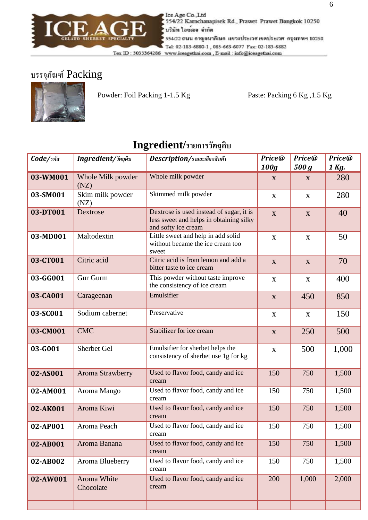

Lee Age Co., Ltd 554/22 Karnchanapisek Rd., Prawet Prawet Bangkok 10250 บริษัท ไอซเอจ จำกัด 554/22 ถนน กาญจนาภิเษก แขวงประเวศ เขตประเวศ กรุงเทพฯ 10250 Tel: 02-183-6880-1, 085-663-6077 Fax: 02-183-6882 Tex ID: 3033364286 www.iceagethai.com, E-mail: info@iceagethai.com

# บรรจุภัณฑ์ Packing



Powder: Foil Packing 1-1.5 Kg Paste: Packing 6 Kg, 1.5 Kg

| Code/sňa | <b>Ingredient/</b> วัตถุดิบ | Description/รายละเอียดสินค้า                                                                               | Price@<br>100g | Price@<br>500 g | Price@<br>1 Kg. |
|----------|-----------------------------|------------------------------------------------------------------------------------------------------------|----------------|-----------------|-----------------|
| 03-WM001 | Whole Milk powder<br>(NZ)   | Whole milk powder                                                                                          | X              | X               | 280             |
| 03-SM001 | Skim milk powder<br>(NZ)    | Skimmed milk powder                                                                                        | $\mathbf X$    | $\mathbf X$     | 280             |
| 03-DT001 | Dextrose                    | Dextrose is used instead of sugar, it is<br>less sweet and helps in obtaining silky<br>and softy ice cream | $\mathbf{X}$   | $\mathbf X$     | 40              |
| 03-MD001 | Maltodextin                 | Little sweet and help in add solid<br>without became the ice cream too<br>sweet                            | $\mathbf X$    | $\mathbf X$     | 50              |
| 03-CT001 | Citric acid                 | Citric acid is from lemon and add a<br>bitter taste to ice cream                                           | $\mathbf X$    | $\mathbf X$     | 70              |
| 03-GG001 | Gur Gurm                    | This powder without taste improve<br>the consistency of ice cream                                          | $\mathbf X$    | $\mathbf X$     | 400             |
| 03-CA001 | Carageenan                  | Emulsifier                                                                                                 | $\mathbf X$    | 450             | 850             |
| 03-SC001 | Sodium cabernet             | Preservative                                                                                               | $\mathbf X$    | $\mathbf X$     | 150             |
| 03-CM001 | <b>CMC</b>                  | Stabilizer for ice cream                                                                                   | $\mathbf{X}$   | 250             | 500             |
| 03-G001  | Sherbet Gel                 | Emulsifier for sherbet helps the<br>consistency of sherbet use 1g for kg                                   | X              | 500             | 1,000           |
| 02-AS001 | Aroma Strawberry            | Used to flavor food, candy and ice<br>cream                                                                | 150            | 750             | 1,500           |
| 02-AM001 | Aroma Mango                 | Used to flavor food, candy and ice<br>cream                                                                | 150            | 750             | 1,500           |
| 02-AK001 | Aroma Kiwi                  | Used to flavor food, candy and ice<br>cream                                                                | 150            | 750             | 1,500           |
| 02-AP001 | Aroma Peach                 | Used to flavor food, candy and ice<br>cream                                                                | 150            | 750             | 1,500           |
| 02-AB001 | Aroma Banana                | Used to flavor food, candy and ice<br>cream                                                                | 150            | 750             | 1,500           |
| 02-AB002 | Aroma Blueberry             | Used to flavor food, candy and ice<br>cream                                                                | 150            | 750             | 1,500           |
| 02-AW001 | Aroma White<br>Chocolate    | Used to flavor food, candy and ice<br>cream                                                                | 200            | 1,000           | 2,000           |

# $\mathbf{Ingredient}/$ รายการวัตถุดิบ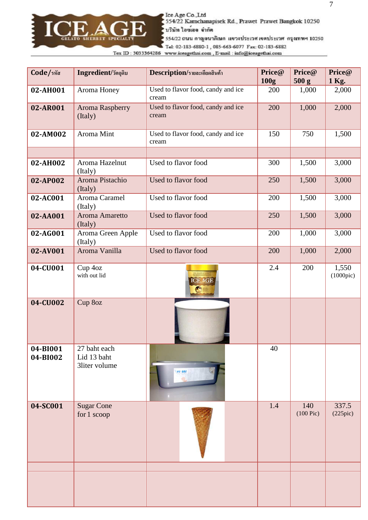

Ice Age Co. Ltd<br>554/22 Kamchanapisek Rd., Prawet Prawet Bangkok 10250 ับริษัท ไอซเอจ จำกัด

รร4/22 ถนน กาญจนาภิเษก แขวงประเวศเขตประเวศ กรุงเทพฯ 10250

Tel: 02-183-6880-1, 085-663-6077 Fax: 02-183-6882  $\operatorname{Ter}$ ID: 3033364286 www.iceagethai.com , E-mail: info@iceagethai.com

| Code/sหัส            | <b>Ingredient/วัตถุดิบ</b>                   | Description/รายละเอียดสินค้า                | Price@<br>100 <sub>g</sub> | Price@<br>500 g       | Price@<br>1 Kg.             |
|----------------------|----------------------------------------------|---------------------------------------------|----------------------------|-----------------------|-----------------------------|
| 02-AH001             | Aroma Honey                                  | Used to flavor food, candy and ice<br>cream | 200                        | 1,000                 | 2,000                       |
| 02-AR001             | Aroma Raspberry<br>(Italy)                   | Used to flavor food, candy and ice<br>cream | 200                        | 1,000                 | 2,000                       |
| 02-AM002             | Aroma Mint                                   | Used to flavor food, candy and ice<br>cream | 150                        | 750                   | 1,500                       |
|                      |                                              |                                             |                            |                       |                             |
| 02-AH002             | Aroma Hazelnut<br>(Italy)                    | Used to flavor food                         | 300                        | 1,500                 | 3,000                       |
| 02-AP002             | Aroma Pistachio<br>(Italy)                   | Used to flavor food                         | 250                        | 1,500                 | 3,000                       |
| 02-AC001             | Aroma Caramel<br>(Italy)                     | Used to flavor food                         | 200                        | 1,500                 | 3,000                       |
| 02-AA001             | Aroma Amaretto<br>(Italy)                    | Used to flavor food                         | 250                        | 1,500                 | 3,000                       |
| 02-AG001             | Aroma Green Apple<br>(Italy)                 | Used to flavor food                         | 200                        | 1,000                 | 3,000                       |
| 02-AV001             | Aroma Vanilla                                | Used to flavor food                         | 200                        | 1,000                 | 2,000                       |
| 04-CU001             | Cup 4oz<br>with out lid                      | <b>CITATION</b><br><b>ICE AGE</b>           | 2.4                        | 200                   | 1,550<br>$(1000\text{pic})$ |
| 04-CU002             | Cup 8oz                                      |                                             |                            |                       |                             |
| 04-BI001<br>04-BI002 | 27 baht each<br>Lid 13 baht<br>3liter volume | ee ase                                      | 40                         |                       |                             |
| 04-SC001             | <b>Sugar Cone</b><br>for 1 scoop             |                                             | 1.4                        | 140<br>$(100$ Pic $)$ | 337.5<br>(225pic)           |
|                      |                                              |                                             |                            |                       |                             |
|                      |                                              |                                             |                            |                       |                             |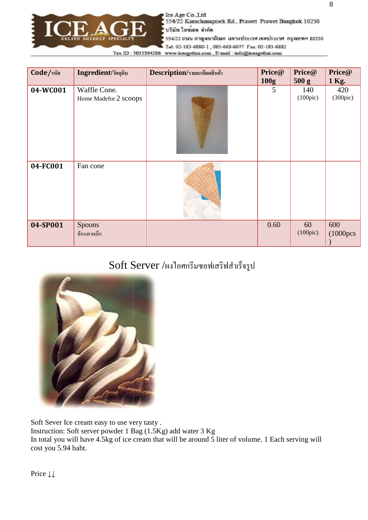

Ice Age Co., Ltd 554/22 Karnchanapisek Rd., Prawet Prawet Bangkok 10250 บริษัท ไอซเอจ จำกัด

554/22 ถนน กาญจนาภิเษก แขวงประเวศ เขตประเวศ กรุงเทพฯ 10250

Tel: 02-183-6880-1, 085-663-6077 Fax: 02-183-6882 Tex ID: 3033364286 www.iceagethai.com, E-mail: info@iceagethai.com

| <b>Code/</b> รหัส | <b>Ingredient/วัตถุดิบ</b>            | Description/รายละเอียดสินค้า | Price@<br>100g | Price@<br>500 g          | Price@<br>1 Kg.     |
|-------------------|---------------------------------------|------------------------------|----------------|--------------------------|---------------------|
| 04-WC001          | Waffle Cone.<br>Home Madefor 2 scoops |                              | 5              | 140<br>$(100\text{pic})$ | 420<br>(300pic)     |
| 04-FC001          | Fan cone                              |                              |                |                          |                     |
| 04-SP001          | Spoons<br>ช้อนพายเล็ก                 |                              | 0.60           | 60<br>$(100\text{pic})$  | 600<br>$(1000)$ pcs |

## ${\rm Soft~Server}$  /ผงไอศกรีมซอฟเสริฟสำเร็จรูป



Soft Sever Ice cream easy to use very tasty . Instruction: Soft server powder 1 Bag (1.5Kg) add water 3 Kg In total you will have 4.5kg of ice cream that will be around 5 liter of volume. 1 Each serving will cost you 5.94 baht.

Price ↓↓